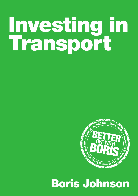# Investing in Transport



# Boris Johnson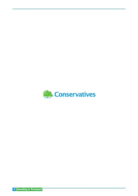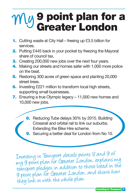# **My 9 point plan for a**<br>Greater London

- **1.** Cutting waste at City Hall freeing up £3.5 billion for services.
- **2.** Putting £445 back in your pocket by freezing the Mayoral share of council tax.
- **3.** Creating 200,000 new jobs over the next four years.
- 4. Making our streets and homes safer with 1,000 more police on the beat.
- 5. Restoring 300 acres of green space and planting 20,000 street trees.
- **6.** Investing £221 million to transform local high streets, supporting small businesses.
- 7. Ensuring a true Olympic legacy 11,000 new homes and 10,000 new jobs.
	- 8. Reducing Tube delays 30% by 2015. Building Crossrail and orbital rail to link our suburbs. Extending the Bike Hire scheme.
	- Securing a better deal for London from No 10.

Investing in Transport details points 8 and 9 of my 9 point plan for Greater London, explains my transport pledges in addition to those listed in the 9 point plan for Greater London, and shows how they link in with the whole plan.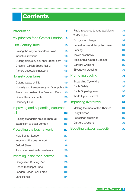# Contents

| <b>Introduction</b>                         | 7  |
|---------------------------------------------|----|
| My priorities for a Greater London          | 9  |
| <b>21st Century Tube</b>                    | 13 |
| Paving the way to driverless trains         | 15 |
| <b>Industrial relations</b>                 | 16 |
| Cutting delays by a further 30 per cent     | 16 |
| Crossrail 2/High Speed Rail 2               | 18 |
| A more accessible network                   | 18 |
| <b>Honesty over fares</b>                   | 19 |
| Cutting waste at TfL                        | 19 |
| Honesty and transparency on fares policy 19 |    |
| Protect and extend the Freedom Pass         | 20 |
| Contactless payments                        | 20 |
| <b>Courtesy Card</b>                        | 21 |
| Improving and expanding suburban            |    |
| rail                                        | 23 |
| Raising standards on suburban rail          | 23 |
| <b>Expansion to outer London</b>            | 25 |
| Protecting the bus network                  | 27 |
| <b>New Bus for London</b>                   | 27 |
| Improving the bus network                   | 27 |
| <b>Oxford Street</b>                        | 28 |
| A more accessible bus network               | 28 |
| Investing in the road network               | 29 |
| <b>Congestion Busting Plan</b>              | 29 |
| Roads Blackspot Fund                        | 30 |
| <b>London Roads Task Force</b>              | 30 |
| <b>Lane Rental</b>                          | 31 |

| Rapid response to road accidents  | 31 |
|-----------------------------------|----|
| <b>Traffic lights</b>             | 31 |
| Congestion charge                 | 32 |
| Pedestrians and the public realm  | 32 |
| Parking                           | 32 |
| <b>Tackle rickshaws</b>           | 32 |
| Taxis and a 'Cabbie Cabinet'      | 33 |
| <b>Dartford Crossing</b>          | 33 |
| Silvertown crossing               | 33 |
| <b>Promoting cycling</b>          | 35 |
| <b>Expanding Cycle Hire</b>       | 35 |
| <b>Cycle Safety</b>               | 35 |
| <b>Cycle Superhighway</b>         | 36 |
| <b>World Cycle Festival</b>       | 36 |
| <b>Improving river travel</b>     | 37 |
| Making the most of the Thames     | 37 |
| <b>Ferry Service</b>              | 37 |
| Pedestrian crossings              | 37 |
| <b>Dartford Crossing</b>          | 38 |
| <b>Boosting aviation capacity</b> | 39 |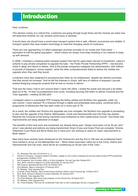## <span id="page-6-0"></span>Introduction

#### Dear Londoner

This election comes at a critical time. Londoners are going through tough times and the choices we make now will determine whether our city remains world-class or declines.

A world-class city should have a world-class transport system that is safe, efficient, economical and reliable. A transport system that uses modern technology to meet the changing needs of Londoners.

There are now approaching 3.5 billion passenger journeys annually on our buses and Tube trains<sup>1</sup>  $$ equivalent to half the global population – which means we simply must keep investing in our network to keep up with demand.

In 2008, I inherited a creaking public transport system that had for years been starved of investment. Labour's scheme to pay private companies to upgrade the tube – the Public Private Partnership (PPP) – had become mired in delay and failure to deliver. One of the private companies collapsed into administration, with millions of pounds of taxpayers' money wasted<sup>2</sup>, while the other comprehensively failed to deliver the Jubilee line upgrade when they said they would.

Londoners were also subjected to successive fare hikes by my predecessor, despite two election promises that they would not increase<sup>3</sup>. And he left the finances in chaos, with tens of millions of taxpayers' pounds wasted designing unpopular projects that he had no money to deliver<sup>4</sup>.

That was the mess I had to turn around when I came into office. I ended the waste and secured a far better deal out of No. 10 than my predecessor ever could, including securing £22 billion to deliver Crossrail and the Tube upgrades<sup>5</sup>, creating 32,000 jobs<sup>6</sup>.

I scrapped Labour's unworkable PPP, bringing the failing Jubilee and Northern line upgrades under my own control. I have restored TfL's finances through a stable and predictable fares policy, combined with a programme of efficiencies that has seen costs cut in every part of TfL.

As a result, the Jubilee and Victoria line upgrades are now complete, the Northern line upgrade is proceeding to plan and the upgrade of the District, Metropolitan, Circle and Hammersmith and City lines has started<sup>7</sup>. Recently the Crossrail tunnel boring machines have embarked on their subterranean course<sup>8</sup>. And these vital improvements are being delivered on budget.

The benefits of this hard work and investment are already being seen. Delays have been cut by 40 per cent<sup>9</sup> since I was elected and stations are being transformed: King's Cross and Green Park are complete. Victoria, Tottenham Court Road and Bond Street are in hand and I am working on plans for major improvements to Bank station<sup>10</sup>.

New trains have recently been introduced on the Victoria line and the first of 190 new air-conditioned trains<sup>11</sup> have started to arrive on the Metropolitan line<sup>12</sup>. When these have been rolled out to the Circle, District and Hammersmith and City lines, there will be air conditioning on 40 per cent of the Tube<sup>13</sup>.

- 1 TfL, [Business Plan 2011/12-2014/15](http://www.tfl.gov.uk/assets/downloads/corporate/tfls-business-plan-2011-12-to-2014-15.pdf), p. 11
- 2 House of Commons, Transport Select Committee, Update on the London Underground and the public-private (PPP) partnership arrangements, [26 March 2010](http://www.publications.parliament.uk/pa/cm200910/cmselect/cmtran/100/10003.htm)
- 3 Ken Livingstone, Ken 4 London, 2000, p. 8; Ken Livingstone, You can't say that, October 2011<br>4 GLA Boris Johnson's Speech to London Assembly 25 January 2012
- GLA, [Boris Johnson's Speech to London Assembly](http://www.london.gov.uk/who-runs-london/mayor/boris-johnson/boris-johnsons-speech-london-assembly-wed-25-january), 25 January 2012
- 5 HM Treasury [Spending Review 2010](http://cdn.hm-treasury.gov.uk/sr2010_completereport.pdf), 20 October 2010
- 6 GLA Website, [Mayor's Questions](http://www.london.gov.uk/moderngov/mgConvert2PDF.aspx?ID=8314), 9 February 2012<br>7 Tfl Website, Tube Ungrade Plan
- 7 TfL Website, [Tube Upgrade Plan](http://www.tfl.gov.uk/corporate/projectsandschemes/18089.aspx)<br>8 Crossrail Press Belease Giant to
- 8 Crossrail, Press Release, [Giant tunnel boring machines ready to start Crossrail dig](http://www.crossrail.co.uk/news/press-releases/giant-tunnel-boring-machines-ready-to-start-crossrail-dig), 13 March 2012<br>9 GLA Boris Johnson's Speech to London Assembly 25 January 2012
- GLA, [Boris Johnson's Speech to London Assembly](http://www.london.gov.uk/who-runs-london/mayor/boris-johnson/boris-johnsons-speech-london-assembly-wed-25-january), 25 January 2012
- 10 TfL Website, [Tube Upgrade Plan](http://www.tfl.gov.uk/corporate/projectsandschemes/18089.aspx)
- 11 [TfL Press Release, New trains mark progress on the Victoria line, 02 August 2011](http://www.tfl.gov.uk/corporate/media/newscentre/metro/20716.aspx)
- 12 TfL Website, [Tube Upgrade Plan](http://www.tfl.gov.uk/corporate/projectsandschemes/18089.aspx)
- 13 TfL, Press Release, [First ever air-conditioned Tube train is now in passenger service,](http://www.tfl.gov.uk/corporate/media/newscentre/archive/16422.aspx) 2 August 2010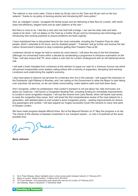The network is now much safer. Crime is down by 20 per cent on the Tube and 30 per cent on the bus network<sup>14</sup> thanks to my policy of banning alcohol and introducing 697 more police<sup>15</sup>.

And, as I pledged I would, I scrapped the bendy buses and am delivering a New Bus for London, with worldclass fuel-efficiency, elegant looks and an open platform at the rear<sup>16</sup>.

But there is more to do. I feel like a man who has built half a bridge. I can see the other side and what needs to be done. I will cut delays on the Tube by a further 30 per cent by harnessing new technology and introducing new working practices to ensure problems are fixed urgently.

I have maintained free or discounted fares for the most vulnerable, including the Freedom Pass for older people, which I extended to 24 hours, and for disabled people<sup>17</sup>. If elected I will go further and reverse the last Labour Government's decision to stop Londoners getting their Freedom Pass at 60.

Londoners should no longer be held to ransom by union barons. I will pave the way to the first driverless (although not unmanned) trains within a decade by accelerating a programme to introduce automation on the Tube. I will also ensure that TfL never orders a new train for London Underground with an old fashioned driver cab.

I will seek a fresh mandate from Londoners at this election to argue our case for a minimum turnout rule which will prevent irresponsible union leaders calling strikes with a minority of supporters, disrupting hard-working Londoners and undermining the capital's economy.

I also have plans to improve rail services for Londoners who live in the suburbs. I will support the extension of the Docklands Light Railway to Bromley, and I am calling on the Government to allow the Mayor to start taking over suburban rail services, so we can tackle overcrowding, make stations safer and hold down fares.

And I recognise, unlike my predecessor, that London's transport is not just about rail, tube and buses, but about our roads too. I will launch a Congestion Busting Plan, including funding for immediate improvements to London's worst congestion hotspots. I will use the income from Lane Rental, which will tackle road works, to ease the congestion they cause. And I will enact the first comprehensive review of the road network for a generation, with detailed plans to end London's worst congestion points – seeking improvements for drivers, bus passengers and cyclists. I will also expand our hugely successful Cycle Hire scheme to many new parts of Greater London.

We have made progress despite difficult times. But at the Mayoral Election on 3<sup>rd</sup> May this progress is at risk. The choice at this election is between investment in our transport system - or cuts in investment at the worst possible time.

> > Junes

**Boris Johnson**

- 15 [Mayor of London, Written Answers, 14 March 2012, 931/2012](http://www.london.gov.uk/moderngov/mgConvert2PDF.aspx?ID=9175)
- 16 TfL Press Release, [First passengers jump aboard the new bus for London](http://www.tfl.gov.uk/corporate/media/newscentre/archive/22955.aspx), 27 February 2012
- 17 GLA Website, Mayor's Questions[, 17 December 2008](http://mqt.london.gov.uk/mqt/public/question.do?id=24215)

<sup>14</sup> GLA, Press Release, [Mayor highlights drop in crime across public transport network,](http://www.london.gov.uk/media/press_releases_mayoral/mayor-highlights-drop-crime-across-public-transport-network) 21 February 2011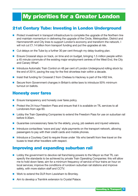# <span id="page-8-0"></span>My priorities for a Greater London

## 21st Century Tube: Investing in London Underground

- **Protect investment in transport infrastructure to complete the upgrade of the Northern line** and maintain momentum in delivering the upgrade of the Circle, Metropolitan, District and Hammersmith and City lines to support London's economy and transform the network. I will not cut £1.14 billion from transport funding and put the upgrades at risk.
- Cut delays on the Tube by a further 30 per cent through my delay-busting plan.
- Ensure Crossrail stays on track, on time and on budget, bringing 1.5 million people within a 45 minute commute of the existing major employment centres of the West End, the City and Canary Wharf.
- Introduce Automatic Train Control on 48 per cent of London Underground rolling stock by the end of 2014, paving the way for the first driverless train within a decade.
- Insist that funding for Crossrail 2 from Chelsea to Hackney is part of the HS2 link.
- Secure from Government changes in Britain's strike laws to introduce 50% minimum turnout on ballots.

#### Honesty over fares

- Ensure transparency and honesty over fares policy.
- **Protect the 24-hour Freedom Pass and ensure that it is available on TfL services to all** Londoners from age 60.
- **Lobby the Train Operating Companies to extend the Freedom Pass for use on suburban rail** before 9.30am.
- Guarantee concessionary fares for the elderly, young, job seekers and injured veterans.
- Introduce contactless 'wave and pay' style payments on the transport network, allowing passengers to pay with their credit cards and mobile phones.
- Introduce a Courtesy Card to require those under 16s who benefit from free travel on the buses to treat other travellers with respect.

#### Improving and expanding suburban rail

- **Lobby the government to devolve rail franchising powers to the Mayor so that TfL can** specify the standards to be achieved by private Train Operating Companies: this will allow me to hold down fares; aim for a minimum frequency of service of four trains an hour on local services; improve the conditions of rundown suburban rail stations and improve safety, with more station staff and CCTV.
- Work to extend the DLR from Lewisham to Bromley.
- Aim to develop a Tramlink extension to Crystal Palace.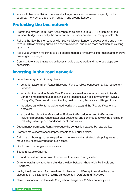**Work with Network Rail on proposals for longer trains and increased capacity on the** suburban network at stations on routes in and around London.

#### Protecting the bus network

- **Protect the network in full from Ken Livingstone's plans to take £1.14 billion out of the** transport budget, especially the suburban bus services on which so many people rely.
- Roll out the New Bus for London with 600 vehicles on London's streets by the end of my term in 2016 as existing buses are decommissioned; and at no more cost than an existing hybrid bus.
- Roll out countdown machines to give people more real-time arrival information and improve passengers' journeys.
- Continue to ensure that ramps on buses should always work and more bus stops are accessible.

### Investing in the road network

- **Launch a Congestion Busting Plan to:** 
	- establish a £50 million Roads Blackspot Fund to relieve congestion at key locations in London;
	- establish the London Roads Task Force to propose long-term proposals to tackle London's most notorious roads, including locations such as Hammersmith Flyover, Purley Way, Wandsworth Town Centre, Euston Road, Archway, and Kings Cross;
	- introduce Lane Rental to tackle road works and expand the 'Report It' system to potholes;
	- expand the role of the Metropolitan Police's traffic police to keep traffic moving, including reopening roads faster after accidents; and continue to review the phasing of traffic lights to improve conditions for all road users.
- Direct money from Lane Rental to reduce the congestion caused by road works.
- **Promote more shared space improvements to our public realm.**
- Call on each borough to review parking in non-residential, strategic shopping areas to reduce any negative impact on businesses.
- Crack down on dangerous rickshaws.
- Set up a 'Cabbie Cabinet'.
- Expand pedestrian countdown to continue to make crossings safer.
- **Drive forward a new road tunnel under the river between Greenwich Peninsula and** Silvertown.
- **Lobby the Government for those living in Havering and Bexley to receive the same** discounts on the Dartford Crossing as residents in Dartford and Thurrock.
- Never introduce a London-wide Congestion Charge or a £25 tax on family cars.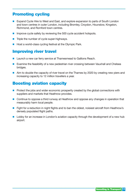## Promoting cycling

- **EXPAND Cycle Hire to West and East, and explore expansion to parts of South London** and town centres in outer London, including Bromley, Croydon, Hounslow, Kingston, Richmond, and Romford town centres.
- **Improve cycle safety by reviewing the 500 cycle accident hotspots.**
- $\blacksquare$  Triple the number of cycle super-highways.
- Host a world-class cycling festival at the Olympic Park.

## Improving river travel

- Launch a new car ferry service at Thamesmead to Gallions Reach.
- Examine the feasibility of a new pedestrian river crossing between Vauxhall and Chelsea bridges.
- Aim to double the capacity of river travel on the Thames by 2020 by creating new piers and increasing capacity to 12 million travellers a year.

#### Boosting aviation capacity

- **Protect the jobs and wider economic prosperity created by the global connections with** suppliers and markets that Heathrow provides.
- Continue to oppose a third runway at Heathrow and oppose any changes in operation that measurably harm local people.
- **Fight for a reduction in night flights and to ban the oldest, noisiest aircraft from Heathrow's** densely populated flight paths.
- **Lobby for an increase in London's aviation capacity through the development of a new hub** airport.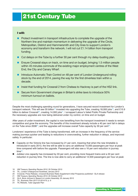# <span id="page-12-0"></span>21st Century Tube

#### I will:

- Protect investment in transport infrastructure to complete the upgrade of the Northern line and maintain momentum in delivering the upgrade of the Circle, Metropolitan, District and Hammersmith and City lines to support London's economy and transform the network. I will not cut £1.14 billion from transport funding.
- Cut delays on the Tube by a further 30 per cent through my delay-busting plan.
- Ensure Crossrail stays on track, on time and on budget, bringing 1.5 million people within 45 minutes commute of the existing major employment centres of the West End, the City and Canary Wharf.
- Introduce Automatic Train Control on 48 per cent of London Underground rolling stock by the end of 2014, paving the way for the first driverless train within a decade.
- Insist that funding for Crossrail 2 from Chelsea to Hackney is part of the HS2 link.
- Secure from Government changes in Britain's strike laws to introduce 50% minimum turnout on ballots.

Despite the most challenging spending round for generations, I have secured record investment for London's transport network. This will see £6 billion<sup>18</sup> invested into upgrading the Tube, creating 18,000 jobs<sup>19</sup>, and £15.9 billion to deliver Crossrail<sup>20</sup>, creating 14,000 jobs<sup>21</sup>. I scrapped Labour's failed Public Private Partnership and the necessary upgrades are now being delivered under my control, on time and on budget.

After years of under-investment, the capital is now benefiting from the transport investment it needs to remain competitive and grow the economy. The benefits of this investment already include a 40 per cent fall in delays on the Tube since  $2008^{22}$ ; and the upgrades will increase overall Tube capacity by 30 per cent<sup>23</sup>.

Londoners' experience of the Tube is being transformed, with an increase in the frequency of the service making journeys quicker and leading to reductions in overcrowding, further reduction in delays, and improved safety. In particular:

- Capacity on the Victoria line has increased by 21 per cent, meaning that when the new timetable is introduced in early 2013, the line will be able to carry an additional 10,000 passengers per hour at peak time compared with before the upgrade. Passengers will also see a 16 per cent reduction in journey time<sup>24</sup>.
- Jubilee Line capacity has increased by 33 per cent, providing more frequent trains and a 22 per cent reduction in journey time. The line is now able to carry an additional 12,500 passengers per hour at peak
- 18 HM Treasury [Spending Review 2010](http://cdn.hm-treasury.gov.uk/sr2010_completereport.pdf), 20 October 2010
- 19 TfL, [London Underground Factsheet](http://www.tfl.gov.uk/assets/downloads/corporate/lu-factsheet-jan2012.pdf), January 2012<br>20 Crossrail Press Belease Crossrail Business Bates
- 20 Crossrail, Press Release, [Crossrail Business Rates Supplement initial Prospectus published](http://www.crossrail.co.uk/news/press-releases/crossrail-business-rates-supplement-initial-prospectus-published-gla-release)  GLA release
- 21 HM Treasury [Spending Review 2010](http://cdn.hm-treasury.gov.uk/sr2010_completereport.pdf), 20 October 2010
- 22 GLA, [Boris Johnson's Speech to London Assembly](http://www.london.gov.uk/who-runs-london/mayor/boris-johnson/boris-johnsons-speech-london-assembly-wed-25-january), 25 January 2012<br>23 Tfl Business Plan 2011/12-2014/15 n 6
- 23 TfL, [Business Plan 2011/12-2014/15](http://www.tfl.gov.uk/assets/downloads/corporate/tfls-business-plan-2011-12-to-2014-15.pdf), p. 6
- 24 TfL Website, [Tube Upgrade Plan](http://www.tfl.gov.uk/corporate/projectsandschemes/18089.aspx)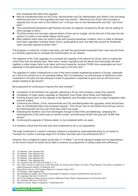time compared with before the upgrade<sup>25</sup>.

- New air-conditioned trains for the Circle, Hammersmith and City, Metropolitan and District Lines are being delivered and work on new signalling and track has started<sup>26</sup>, delivering over 20 per cent increases in capacity from 24 per cent on the District Line<sup>27</sup> to 65 per cent on the Hammersmith and City<sup>28</sup> and Circle  $lines<sup>29</sup>$ .
- The overstretched Docklands Light Railway has seen its capacity increased by 50 per cent by adding an extra carriage to trains<sup>30</sup>.
- The East London line has been opened ahead of time and on budget, and by the end of this year the last section of London's new orbital railway will be open<sup>31</sup>.
- Many stations which were too small to cope with growing passenger numbers, and in a state of disrepair, have been upgraded, including King's Cross, quadrupling its size, and step-free access for wheelchair users has been opened at Green Park<sup>32</sup>.

This progress is critical for London's economy, and with the government investment that I have secured there is a fantastic opportunity to complete the transformation of our network.

The objective of the Tube upgrades is to increase the capacity of the network by 30 per cent by making the most of the lines we already have. New trains, modern signalling and the latest track technology will work together to allow longer trains to go faster and more frequently, carrying 70,000 more passengers per hour<sup>33</sup>, especially in the peak periods when we need to get to and from work.

The upgrade of London Underground is one of the most complex engineering projects in Europe, especially as it has to be carried out on an operating railway. But it is necessary, not only because of disastrous underinvestment in the past, but also because London's population is expected to grow and we will have more people needing to get around<sup>34</sup>.

My programme for continuing to improve the tube includes $35$ :

- Completion of the Northern line upgrade, delivering a 20 per cent increase in peak time capacity.
- Completion of major station upgrades at Tottenham Court Road, Bond Street and Paddington.
- **Pushing forward work on the upgrade of the Bakerloo and Piccadilly lines and on a major congestion relief** scheme at Bank.
- Continuing the District, Circle, Hammersmith and City and Metropolitan line upgrades, which will all have new, air-conditioned trains and increased capacity - from 24 per cent on the District line to 65 per cent on the Hammersmith and City and Circle lines within four years.
- Extending the Northern Line from Kennington through to Nine Elms and Battersea, catalysing the redevelopment of this prime area of central London, and delivering 25,000 new jobs and 16,000 new homes<sup>36</sup>.
- Continuing the upgrade of Victoria station, to be completed within six years.

It is therefore critical that this hard work and investment so far is not squandered.

The huge investment in London's transport network is matched by unprecedented plans to cut waste at Transport for London. A savings target of £7.6 billion has been set to be achieved by 2017<sup>37</sup>.

However, Ken Livingstone's plans would take £1.14 billion<sup>38</sup> out of the transport budget and his dependence on the unions means he would not be able to continue my programme of cutting waste and inefficiency.

- 25 TfL Website, [Tube Upgrade Plan](http://www.tfl.gov.uk/corporate/projectsandschemes/18089.aspx)<br>26 TfL Website Tube Upgrade Plan
- TfL Website, [Tube Upgrade Plan](http://www.tfl.gov.uk/corporate/projectsandschemes/18089.aspx)
- 27 TfL Website, [Tube Upgrade Plan](http://www.tfl.gov.uk/corporate/projectsandschemes/18089.aspx)<br>28 Tfl Website Tube Upgrade Plan
- TfL Website, [Tube Upgrade Plan](http://www.tfl.gov.uk/corporate/projectsandschemes/18089.aspx)
- 29 TfL Website, [Tube Upgrade Plan](http://www.tfl.gov.uk/corporate/projectsandschemes/18089.aspx)
- 30 TfL, [Business Plan 2011/2012-2014/2015](http://www.tfl.gov.uk/assets/downloads/corporate/tfls-business-plan-2011-12-to-2014-15.pdf), p. 10
- 31 GLA, [Boris Johnson's Speech to London Assembly](http://www.london.gov.uk/who-runs-london/mayor/boris-johnson/boris-johnsons-speech-london-assembly-wed-25-january), 25 January 2012; [Mayor of London, Press Release,](http://www.london.gov.uk/media/press_releases_mayoral/first-step-completion-orbital-overground-network) First step to completion of [orbital Overground network](http://www.london.gov.uk/media/press_releases_mayoral/first-step-completion-orbital-overground-network), 16 February 2012
- 32 Mayor Boris Johnson, [My Progress Report to Londoners](http://www.backboris2012.com/system/storage/60/84/b/1424/My_Progress_Report.pdf), March 2012<br>33 TfL Website. Tube Uparade Plan'
- 33 TfL Website, [Tube Upgrade Plan'](http://www.tfl.gov.uk/corporate/projectsandschemes/18089.aspx)<br>34 GLA Intelligence Update 2010 Bo
- GLA Intelligence Update, [2010 Round Demographic Projections using the 2009 SHLAA](http://www.london.gov.uk/sites/default/files/dmag/Update 01-2011 2010 Round Demographic Projections using the SHLAA.pdf), February 2011
- 35 TfL, [Business Plan 2011/12-2014/15](http://www.tfl.gov.uk/assets/downloads/corporate/tfls-business-plan-2011-12-to-2014-15.pdf)
- 36 GLA, Press Release, [Mayor gives go ahead to Battersea Power Station Redevelopment](http://www.london.gov.uk/media/press_releases_mayoral/mayor-gives-go-ahead-battersea-power-station-redevelopment), 22 November 2010<br>37 Tfl Business Plan 2011/12-2014/15
- 37 TfL, [Business Plan 2011/12-2014/15](http://www.tfl.gov.uk/assets/downloads/corporate/tfls-business-plan-2011-12-to-2014-15.pdf)<br>38 Mayor of London Mayor's Questions
- Mayor of London, Mayor's Questions[, 14 December 2011](http://www.london.gov.uk/mqt/public/question.do?id=39419)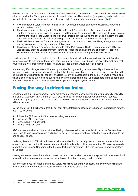<span id="page-14-0"></span>Indeed, he is responsible for most of the waste and inefficiency I inherited and there is no doubt that he would either jeopardise the Tube upgrades or would have to slash local bus services (and possibly do both) to cover his self-inflicted loss. Analysis by TfL reveals how London's transport system would be wrecked<sup>39</sup>:

- It would threaten Safer Transport Teams, which have been doubled and have delivered a 30 per cent reduction in bus crime<sup>40</sup>.
- The delay for years of the upgrade of the Bakerloo and Piccadilly lines, affecting residents in half of London's boroughs, from Ealing to Hackney, and Hounslow to Southwark. This delay would leave in place a control machine for the Bakerloo line which was installed in the 1950s and still uses a system of paper hole-punches to regulate the service, leading to more delays and disruption for passengers.
- The indefinite delay of the Bank station upgrade, which accounts for over 45 million journeys each year, leading to more overcrowding and more station closures.
- The delay for at least a decade of the upgrade of the Metropolitan, Circle, Hammersmith and City, and District lines, affecting Londoners from Richmond to Barking and Dagenham, and from Hillingdon to Wandsworth - this would leave in place a signal box first installed at Edgware Road in 1926.

Londoners would not see the value of current investments realised, and would no longer benefit from hard won investment to deliver new trains and more frequent services. It would mean the everyday problems that cause delays would take much longer to fix and our tube system would suffer as a result.

Alternatively, Ken Livingstone could make up the shortfall by slashing bus services. Night buses and less well used services in the suburbs would probably be the first to go, but even the busiest routes would need to be thinned out, with insufficient capacity available to carry all passengers in the peak. This would mean long waits at bus-stops as overcrowded buses went by without stopping to pick up passengers trying to get to and from work. That would be a disaster and I will not put the transport system at risk.

#### Paving the way to driverless trains

Londoners want a Tube system that takes advantage of modern technology for improving capacity, reliability and safety. Automatic Train Control (ATC) allows trains to run closer together at higher overall speeds, increasing capacity on the line. It also allows us to move closer to driverless (although not unmanned) trains within a decade.

By the end of 2014, I will ensure that 48 per cent of the total rolling stock on the London Underground network has ATC, including:

- Jubilee line (9.5 per cent of the network rolling stock total)
- Central line (14.4 per cent)
- Northern line (17.3 per cent)
- Victoria line (7 per cent)

ATC is a pre-requisite for driverless trains. Having driverless trains, as recently introduced in Paris on their Line 1, would lead to cost savings and reliability gains. It will also, over time, make the system cheaper to run and cheaper to use.

Under my leadership, TfL will rapidly establish a timetable for introducing the first driverless trains to become operational on the London Underground network within a decade. I will also ensure that TfL never again order a new train for London Underground with an old-fashioned driver cab – it is time to invest in new technology for London.

Moving to automation on this scale will make the tube more reliable, because the system will be smarter. It will also reduce the bargaining power of the union bosses intent on bringing London to a halt.

But driverless does not mean unmanned. Safety will still be our primary concern, and every train will always have a staff member on board to assist customers as they do on the DLR.

<sup>39</sup> Mayor of London, Mayor's Questions[, 14 December 2011](http://www.london.gov.uk/mqt/public/question.do?id=39419)

<sup>40</sup> TFL, [Crime and anti Social Behaviour Statistical Bulletin](http://www.tfl.gov.uk/assets/downloads/corporate/crime-and_-antisocial-behaviour-web-bulletin-Q21112.pdf)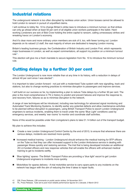#### <span id="page-15-0"></span>Industrial relations

The underground network is too often disrupted by reckless union action. Union bosses cannot be allowed to hold London to ransom in pursuit of unjustified claims.

I will continue to lobby No. 10 to change Britain's strike laws to introduce a minimum turnout, so that strikes can only go ahead when at least 50 per cent of all eligible union workers participate in the ballot. Hardworking Londoners are sick of Bob Crow holding the entire capital to ransom, calling unnecessary strikes and wreaking havoc on London's economy.

And it's clear more and more ordinary union members are sick of it, too, with fewer turning out. London depends on its valued LU staff, the vast majority of whom are dedicated to keeping London moving.

Britain's leading business groups, the Confederation of British Industry and London First, which represents major businesses in London, as well as expert commentators, all support my position on a minimum turnout rule $41$ .

This election will give me a fresh mandate to secure legislation from No. 10 to introduce the minimum turnout rule.

#### Cutting delays by a further 30 per cent

The London Underground is now more reliable than at any time in its history, with a reduction in delays of almost 40 per cent since I was elected $42$ .

It is important to take London forward - not just with a modernised Tube system with new signalling, track and stations, but also to change working practices to minimise disruption to passengers and improve services.

I will build on our success so far, by implementing a plan to reduce Tube delays by a further 30 per cent. The plan is the most comprehensive in TfL's history to predict and prevent failures and improve the response to, and recovery from, failures so as to minimise disruption to the network.

A range of new techniques will be introduced, including new technology for advanced signal monitoring and Automated Track Monitoring Systems, to identify earlier any potential defects and allow maintenance activities to be planned without disruption to passengers, using British Transport Police to escort London Underground engineers to serious incidents, enabling them to travel under the same 'Blue Light' conditions used by emergency services, and weekly 'war rooms' to monitor and coordinate staff activities.

None of this would be possible under Ken Livingstone's plans to take £1.14 billion out of the transport budget.

My plan to achieve this includes:

- Create a new London Underground Control Centre by the end of 2013, to ensure that whenever there are serious delays, incidents are resolved more quickly.
- Increased medical training London Underground should enhance the medical training for BTP officers on the Tube so that they can offer increased support to the London Ambulance service in dealing with passenger illness quickly and restoring services. The trial that is being developed includes an additional 20 LU-funded officers and new response vehicles that will enable the officers with enhanced medical training to get to incidents swiftly.
- 'Blue lighting' spares -The British Transport Police are providing a 'blue light' escort to get London Underground engineers to incidents more quickly.
- Motorbikes for spares delivery A trial motorbike service to carry spare parts to any incidents on the network has begun with the aim of reducing the time it takes to repair faults.

42 TfL, Press Release, [Tube set to post most reliable performance figures for a decade,](http://www.tfl.gov.uk/corporate/media/newscentre/23022.aspx) 2 March 2012

<sup>41</sup> CBI, Press Release, [CBI comments on public sector strikes](http://www.cbi.org.uk/media-centre/press-releases/2011/11/cbi-comments-on-public-sector-strikes/), 24 November 2011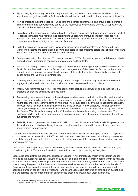- Right spare, right place, right time Spare parts are being stocked at common failure locations so that technicians can go there and fix a fault immediately, without having to head to pick up spares at a depot first.
- New approach to incident response Engineers and operational staff are being brought together into a single command and control room to speed up the response to incidents and oversee all aspects of the operation of the network on a real time basis.
- Co-ordinating the response and dedicated staff Deploying specialised and experienced Network Incident Response Managers who will take over coordinating London Underground's incident response from the start of April. Recruit dedicated staff to improve train reliability at five key locations on the network (Hammersmith, Brixton, Aldgate, Morden and Stratford).
- Rollout of automatic track monitoring Advanced signal monitoring technology and Automated Track Monitoring Systems are being trialled, allowing engineers to spot problems before they affect services and focus their maintenance efforts in the most effective way.
- Remote monitoring of equipment Through sensors and CCTV of signalling, pumps and drainage, which means London Underground can spot a problem early and fix it faster.
- More off site testing Jubilee Line passengers suffered disruption during the upgrade delivered under the Public Private Partnership due to a failure to test the systems sufficiently offline. For the Northern Line upgrade vast amounts of testing will be done on simulators which exactly replicate the line to iron out issues before the live system is introduced.
- Listening to the grassroots London Underground is putting in changes to significantly improve how it engages frontline staff, who can often provide the most creative solutions to problems.
- Weekly 'war rooms' for every line Top management for each line meet weekly and discuss the top 5 problems on that line and how to address them.
- Accelerating pace, greater focus In the past a problem has taken months to be identified and a solution taken even longer to be put in place. An example of the new focus has been the identification of a problem where passenger emergency alarms on numerous lines cause lots of delays due to accidental activation. The war rooms have identified it as a systematic issue and work is now underway to install covers on passenger emergency alarms to reduce accidental activations on the lines most affected by them before the Games. Work is well underway on the Victoria line and is already showing positive results. The Northern, Jubilee and Piccadilly lines are also being addressed, and plans are in development to roll this out across the network.
- Reliability focus to generate new ideas £50 million has already been identified for reliability projects over the next few years, which are being developed, implemented and tracked to ensure they produce real improvements for passengers.

I have begun to implement parts of this plan, and the successful results are starting to be seen. This plan is a critical part of the modernisation of the Tube. I will continue to take London forward with the major investment in the Tube upgrade, and will not risk a return to old rolling stock, outdated equipment, and ancient working practices of the past.

Despite the tightest spending round in generations, we have secured funding to deliver Crossrail in full, as scheduled by 2018. This means £15.9 billion injected into the project, creating 14,000 jobs<sup>43</sup>.

Crossrail is essential for the economic success of London. It will dramatically improve transport in London, increasing the overall rail capacity in London by 10 per cent and bringing 1.5 million people within 45 minutes commute of the existing major employment centres of the West End, the City and Canary Wharf<sup>44</sup>. It is critical to supporting the growth of the financial and business services sectors in central London and in the Isle of Dogs, where there is market demand for additional development capacity, and will provide much-needed additional transport capacity to the West End. I will ensure Crossrail is delivered on time and on budget, and that we optimise the major regeneration opportunities presented around new Crossrail stations.

<sup>43</sup> HM Treasury [Spending Review 2010](http://cdn.hm-treasury.gov.uk/sr2010_completereport.pdf), 20 October 2010

<sup>44</sup> Crossrail, Press Release, [Crossrail issues rolling stock and depot tender](http://www.crossrail.co.uk/news/press-releases/crossrail-issues-rolling-stock-depot-tender), 28 February 2012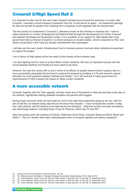### <span id="page-17-0"></span>Crossrail 2/High Speed Rail 2

It is important to plan now for the next major transport infrastructure to boost the economy in London after Crossrail. I secured a record transport investment from No 10 and will do so again – an investment package for jobs and growth far greater than anything Ken Livingstone could negotiate with the Government.

The first priority for investment is Crossrail 2, otherwise known as the Chelsea to Hackney line. I want to relieve pressure on London Underground and National Rail through the development of a further Crossrail link between Northeast and Southwest London. It is a condition of my support for High Speed Rail 2 that government help us finance Crossrail 2, to relieve pressure on Euston station, which is essential to HS2, and where crucial parts of the Tube are already overwhelmed with passengers.

I will also ask the new London Infrastructure Fund to harness pension fund and other institutional investment to support the project.

I am in favour of high speed rail but we need to look closely at the business case.

I am also fighting hard for more to protect West London residents. We won an important success with the tunnel between Northolt and Ruislip but more needs to be done.

However, the new line comes with a cost in terms of its effects on people whose homes it passes near to. I have successfully persuaded Government to amend the proposal by building a 2.75-mile tunnel to reduce disruption for local residents between Northolt and Ruislip<sup>45</sup>, but I will continue to lobby government for improvements to HS2 to lessen the impact on West London residents.

#### A more accessible network

Crossrail, together with the Tube upgrade, will also mean tens of thousands of step free journeys every day on the network, significantly helping disabled travellers and parents with buggies.

During tough economic times we have kept as much of the step free programme going as we can, with the aim of half the rail network being step-free by the end of this decade<sup>46</sup>. I have increased the number of stepfree Tube stations, with 65 stations to be step-free by the Olympics<sup>47</sup>. Step-free access has been provided at key interchange stations, including King's Cross St. Pancras, which has 10 new lifts<sup>48</sup>.

Step-free access work will continue at Victoria, Tottenham Court Road, Liverpool Street and Bond Street and others<sup>49</sup>. This is in tandem with major redevelopment work to increase capacity and relieve congestion.

- 45 [House of Commons Hansard](http://www.publications.parliament.uk/pa/cm201212/cmhansrd/cm120110/debtext/120110-0001.htm#12011048000001), 10 January 2012, Col. 25
- 46 TfL, [Taking forward the Mayor's Transport Strategy Accessibility Implementation Plan,](http://www.tfl.gov.uk/assets/downloads/corporate/taking-forward-the-mts-accessibility-implementation-plan-march-2012-final.pdf) March 2012
- 47 TfL, Press Release, [King's Cross St. Pancras Tube station is step-free with 10 new lift](http://www.tfl.gov.uk/corporate/media/newscentre/archive/16769.aspx)s, 27 September 2010<br>48 Tfl. Press Release, King's Cross St. Pancras Tube station is step-free with 10 new lifts, 27 September 2010
- TfL, Press Release, [King's Cross St. Pancras Tube station is step-free with 10 new lift](http://www.tfl.gov.uk/corporate/media/newscentre/archive/16769.aspx)s, 27 September 2010
- 49 TfL, Press Release, [King's Cross St. Pancras Tube station is step-free with 10 new lift](http://www.tfl.gov.uk/corporate/media/newscentre/archive/16769.aspx)s, 27 September 2010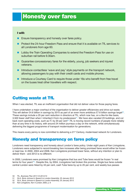## <span id="page-18-0"></span>Honesty over fares

#### I will:

- Ensure transparency and honesty over fares policy.
- Protect the 24-hour Freedom Pass and ensure that it is available on TfL services to all Londoners from age 60.
- Lobby the Train Operating Companies to extend the Freedom Pass for use on suburban rail before 9.30am.
- Guarantee concessionary fares for the elderly, young, job seekers and injured veterans.
- Introduce contactless 'wave and pay' style payments on the transport network, allowing passengers to pay with their credit cards and mobile phones.
- Introduce a Courtesy Card to require those under 16s who benefit from free travel on the buses treat other travellers with respect.

#### Cutting waste at TfL

When I was elected, TfL was an inefficient organisation that did not deliver value for those paying fares.

I have undertaken a major overhaul of the organisation to deliver greater efficiencies and drive out waste. This will deliver £4.6 billion in savings by 2015 as part of an even more ambitious £7.6 billion savings target<sup>50</sup>. These savings include a 25 per cent reduction in directors at TfL, which now has, on a like-for-like basis, 3,500 fewer staff than when I inherited it from my predecessor<sup>51</sup>. We have also vacated 23 buildings, and cut back room operating costs, such as IT, by 20 per cent<sup>52</sup>. TfL is moving record numbers of people more reliably than at any time in its history, with around 24 million journeys a day on the network, while simultaneously delivering the biggest programme of transport modernisation for generations.

This means every penny is now committed to delivering a 21<sup>st</sup> Century, modernised network for Londoners.

#### Honesty and transparency on fares policy

Londoners need transparency and honesty about London's fares policy. Under eight years of Ken Livingstone, Londoners were subjected to record-breaking fare increases after being promised fares would either be frozen or kept low. In 2000, 2004 and 2008, Ken Livingstone promised lower fares, without any intention or plan to deliver them - and 2012 is no different.

In 2000, Londoners were promised by Ken Livingstone that bus and Tube fares would be frozen "in real terms for four years"<sup>53</sup>. Despite this, by 2004, Livingstone had broken this promise. Single bus fares outside central London were hiked by 43 per cent, cash Tube fares by up to 25 per cent, and weekly bus passes

- 50 TfL, [Business Plan 2011/12-2014/15](http://www.tfl.gov.uk/assets/downloads/corporate/tfls-business-plan-2011-12-to-2014-15.pdf)
- 51 GLA, [Boris Johnson's Speech to London Assembly](http://www.london.gov.uk/who-runs-london/mayor/boris-johnson/boris-johnsons-speech-london-assembly-wed-25-january), 25 January 2012
- 52 GLA, [Boris Johnson's Speech to London Assembly](http://www.london.gov.uk/who-runs-london/mayor/boris-johnson/boris-johnsons-speech-london-assembly-wed-25-january), 25 January 2012
- 53 Ken Livingstone, Ken 4 London, 2000, p. 8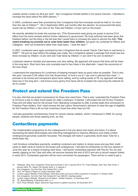<span id="page-19-0"></span>outside central London by 26.6 per cent<sup>54</sup>. Ken Livingstone himself admits in his recent memoirs: 'I decided to increase the fares before the 2004 election.'<sup>55</sup>

In 2003, Londoners were then promised by Ken Livingstone that fare increases would be held to "no more than the rate of inflation"<sup>56</sup>. Yet in September 2004, just months after the election, he announced that fares would rise by inflation  $+1$  per cent on the Tube and inflation  $+10$  per cent on the buses<sup>57</sup>.

He recently admitted he broke this promise too; '[The Government was] giving me power to borrow £2.9 billion from the bond markets without further reference to government. No local authority had been given this freedom before, but the sting in the tail was that I would have to increase the fares to service the debt. **This meant breaking my promise not to raise fares faster than inflation**, but given my contempt for Wilson and Callaghan - who cut investment rather than raise taxes - I took the deal.<sup>'58</sup>

In 2007, Londoners were again promised by Ken Livingstone that he would "freeze Tube fares in real terms in 2009"<sup>59</sup>. Yet just six days before the pledge was made, Ken Livingstone agreed a package that would see bus fares increase by inflation  $+2$  per cent and Tube fares by inflation  $+1$  per cent if he won re-election<sup>60</sup>.

Londoners deserve honesty and openness over fare setting. My approach will ensure that fares will be lower in the long term. Short term fare cuts invariably lead to fare hikes in the aftermath. I reject the economics of the loan shark.

I understand the importance for Londoners of keeping transport fares as good value as possible. That is why this year I secured £130 million from the Government, to fund a cut of 1 per cent in planned fare rises<sup>61</sup>. I promise to be honest and transparent about fares setting, and by cutting waste at TfL my approach will keep fares low in the long term. I will ensure every penny from fares will be invested into improving the network for all of London.

#### Protect and extend the Freedom Pass

It is also vital that we protect concessions for those who need them. That is why I extended the Freedom Pass to 24 hours a day to make travel easier for older Londoners. If elected, I will protect the full 24-hour Freedom Pass and will lobby hard for the private Train Operating Companies to offer a similar peak-time concession to Freedom Pass holders. And I shall reverse the last Labour Government's decision to raise the age of eligibility for the Freedom Pass to 65 so that Londoners travel free when they turn 60.

I will also guarantee concessionary travel for injured veteran soldiers, which I introduced in 2009, for young people, students and those seeking work, as now.

#### Contactless payments

The modernisation programme for the underground is not just about new tracks and trains; it is about harnessing the latest technologies and reforming management to improve efficiency and make London Underground genuinely customer focussed. The changes will make it a genuinely world class Tube for a world-class city.

I will introduce contactless payments, enabling Londoners and visitors to simply wave and pay their credit cards or debit cards to travel on the buses and underground. I will start its introduction on the bus network in June this year as a means of paying cash fares. I will launch contactless payment with Pay As You Go and weekly capping on the Tube and other rail services towards the end of 2013 and aim to launch season tickets in early 2014. Contactless payment will be more convenient for passengers. There will be no need to get a

- 55 Ken Livingstone, You Can't Say That, October 2011, p 491
- 56 GLA, 34<sup>th</sup> Mayor's Report to London Assembly, 2003<br>57 London Legacy Website, Press Release, New fares r
- 57 London Legacy Website, Press Release, [New fares policy will secure £3bn investment in transport](http://legacy.london.gov.uk/view_press_release.jsp?releaseid=4365), 21 October 2004
- 58 Ken Livingstone, You Can't Say That, October 2011, pp. 496-497, emphasis added
- 59 London Legacy Website, [Questions to the Mayor Written Answers](http://legacy.london.gov.uk/assembly/assemmtgs/2007/mqtdec12/minutes/written-answers.pdf), 12 December 2007
- 60 TfL, Board Meeting[, 6 December 2007, p. 4](http://www.tfl.gov.uk/assets/downloads/corporate/agenda-and-papers-dec-2007.pdf)
- 61 GLA, Press Release, [Mayor welcomes huge boost to capital's economy](http://www.london.gov.uk/media/press_releases_mayoral/mayor-welcomes-huge-boost-capitals-economy), 29 November 2011

<sup>54</sup> Telegraph, Blog, [Ken Livingstone: those fares promises in full](http://blogs.telegraph.co.uk/news/andrewgilligan/100126746/ken-livingstone-those-fares-promises-in-full/), 3 January 2012; TfL, Press Release, [New Year, New Fares](http://www.tfl.gov.uk/static/corporate/media/newscentre/archive/4388.html), 2 [January 2004](http://www.tfl.gov.uk/static/corporate/media/newscentre/archive/4388.html); TfL, Report[, 29 October 2003, p. 5, Agenda 5](http://www.tfl.gov.uk/assets/downloads/corporate/agenda-29-10-2003.pdf)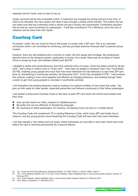<span id="page-20-0"></span>separate card for travel, and no need to top up.

Oyster accounts will be fully accessible online. If customers are charged the wrong amount at any time, or need to be refunded, this new system will make it easy through a simple online transfer. This means that we can make sure that any customers owed a refund can get it quickly and conveniently. Contactless payment will not only be more convenient for passengers – it will also contribute to TfL's efficiency, since the cost of collection will be lower than with Oyster.

#### Courtesy Card

At present, under-16s can travel for free on the buses in London with a ZIP card. This is an important concession which I am committed to continuing, and has provided welcome financial relief to parents across London.

However, there are still problems with a minority of under-16s who abuse their privilege. My predecessor ignored crime on the transport system, particularly on buses. As a result, there was an increase of violent crime on buses by 9 per cent between 2004/5 and 2007/8<sup>62</sup>.

I pledged to tackle anti-social behaviour and have reduced crime on buses, which has fallen overall by 30 per cent<sup>63</sup>, with a drop in violent crime of 19 per cent<sup>64</sup>. I also kept my pledge to introduce 'Earn Your Travel Back' (EYTB), enabling young people who have their free travel withdrawn for bad behaviour to earn their ZIP card back by volunteering in community activities. By December 2011, 3,019 had completed EYTB<sup>65</sup>. I will continue this scheme, making it even more targeted and effective at changing behaviour, and working through Team London to get more young people to volunteer in worthwhile activities.

I will strengthen the existing behaviour code by making it an explicit condition of free travel that under -16s give up their seats for older people, especially pensioners and behave courteously to their fellow passengers.

I will publish a three-point Courtesy Code on the back of each ZIP card which will remind card holders that they must:

- Give up their seat to an older, pregnant or disabled person.
- Be polite and not use offensive or threatening language.
- Be courteous to fellow passengers: for instance, not playing music out loud on a mobile phone.

This Courtesy Code will complement TfL's existing Behaviour Code, which every ZIP card holder has to observe, and any young person found breaching the Courtesy Code will have their free travel withdrawn.

I will also operate a 'two strikes and out' policy, where individuals are only able to earn their travel back once before the card is removed permanently for a second offence.

65 GLA, Mayor's Questions[, 14 December 2011.](http://mqt.london.gov.uk/mqt/public/question.do?id=39319)

<sup>62</sup> TfL, [Crime and Anti Social Behaviour Statistical Bulletin,](http://www.tfl.gov.uk/assets/downloads/corporate/crime-and-anti-social-behaviour-statistics-bulletin-q1-2007-08.pdf) Q1 07/08, Table 2.1; [Ibid.Q1 08/09, Table 2.1](http://www.tfl.gov.uk/assets/downloads/corporate/crime-and-anti-social-behaviour-statistics-bulletin-q1-2008-09.pdf)<br>63 TFL Crime Statistics Bulletin, Q2 11/12: GLA Press Release Mayor highlights drop in crime across p

TFL, [Crime Statistics Bulletin,](http://www.tfl.gov.uk/assets/downloads/corporate/crime-and_-antisocial-behaviour-web-bulletin-Q21112.pdf) Q2 11/12; GLA, Press Release, [Mayor highlights drop in crime across public transport network,](http://www.london.gov.uk/media/press_releases_mayoral/mayor-highlights-drop-crime-across-public-transport-network) 21 [February 2011](http://www.london.gov.uk/media/press_releases_mayoral/mayor-highlights-drop-crime-across-public-transport-network)

<sup>64</sup> GLA, Press Release, [Mayor highlights drop in crime across public transport network,](http://www.london.gov.uk/media/press_releases_mayoral/mayor-highlights-drop-crime-across-public-transport-network) 21 February 2011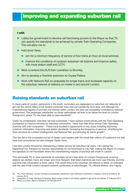## <span id="page-22-0"></span>Improving and expanding suburban rail

#### I will:

- Lobby the government to devolve rail franchising powers to the Mayor so that TfL can specify the standards to be achieved by private Train Operating Companies. This will allow me to:
- hold down fares;
	- aim for a minimum frequency of service of four trains an hour on local services;
	- improve the conditions of rundown suburban rail stations and improve safety, with more station staff and CCTV.
- Work to extend the DLR from Lewisham to Bromley.
- Aim to develop a Tramlink extension to Crystal Palace.
- Work with Network Rail on proposals for longer trains and increased capacity on the suburban network at stations on routes in and around London.

#### Raising standards on suburban rail

In many parts of London, particularly in the south, commuters are dependent on suburban rail networks to get into the centre. Many of the busiest commuter lines end just outside the GLA area, and although the overwhelming majority of journeys are entirely within London, the lines are completely controlled by national government. The passenger satisfaction on these nationalised rail lines is far below the level on London Overground, where TfL has been able to raise standards<sup>66</sup>.

Under my predecessor, suburban rail was overlooked. I have worked constructively with the Train Operating Companies to improve services for suburban commuters. I have now held three annual Train Operating Summits with train companies<sup>67</sup>. These have resulted in agreements on key areas including improving customer information, improving and station standards, increasing the frequency of services, simplifying the fares structure for London Underground and National Rail, and planning for future growth<sup>68</sup>.

This has led to the successful roll out of Oyster card readers with the result that millions of Londoners not only have that convenience but also cheaper Oyster fares.

I will take London forward by championing a better service for suburban rail users. I am asking the Department for Transport to devolve responsibility for rail franchises to City Hall, making the Mayor of London the signatory on rail franchises where the overwhelming majority of journeys are made in London.

This will enable TfL to raise standards on suburban rail as it has done on London Overground, ensuring stations are staffed, trains are longer and more frequent, that ticket machines are more user-friendly, and that real-time train information is more useful. This would ensure the suburban rail network is better co-ordinated with the rest of the London transport network, particularly at interchanges. TfL officials believe, and I agree,

- 66 TfL, Press Release, [London Overground passenger satisfaction soars following investment in capacity, trains and stations](http://www.tfl.gov.uk/corporate/media/newscentre/archive/22726.aspx), 26 [January 2012](http://www.tfl.gov.uk/corporate/media/newscentre/archive/22726.aspx)
- 67 Association of Trade Operating Companies, Mayor brings London's rail industry together to get set for the Games, 27 February 2012
- 68 Mayor of London, Mayor's Questions, 24 February 2010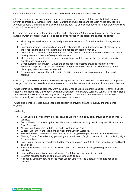that a further benefit will be the ability to hold down fares on the suburban rail network.

In the next four years, six London-area franchises come up for renewal. TfL has identified the franchise currently operated by Southeastern to Hayes, Dartford and Sevenoaks and the West Anglia services from Liverpool Street to Chingford, Enfield Lock and Enfield Town as priorities for devolution when those franchises come up for renewal in 2014.

If TfL were the franchising authority (as it is for London Overground) there would be a clear set of service standards which eventually I would like to see apply to rail franchises across the capital, including:

- More frequent services a turn up and go frequency of at least four trains an hour throughout the week.
- Passenger security improved security with networked CCTV and help points at all stations, plus improved lighting and more stations gated to reduce antisocial behaviour.
- Overhaul of 100 stations refurbishment and deep cleaning of over 100 stations in Greater London, brining them up to London Overground standards.
- $\blacksquare$  More staffing a visible staff presence across the network throughout the day, offering proactive assistance to customers.
- Better customer information visual and public address systems providing real time service information supported by the best and most comprehensive online and mobile enabled journey planning system anywhere in the world.
- Cycle parking high quality cycle parking facilities to promote cycling as a means of access to stations.

In addition, I have also secured the Government's agreement for TfL to work with Network Rail on proposals for longer trains and increased capacity at stations on the suburban network on routes in and around London.

TfL has identified 17 stations (Barking, Bromley South, Charing Cross, Clapham Junction, Fenchurch Street, Finsbury Park, Herne Hill, Marylebone, Orpington, Peckham Rye, Putney, Surbiton, Sutton, Tulse Hill, Victoria, Waterloo East and Wimbledon) with significant congestion problems with the best case for some works to enhance capacity with smaller scale works to remove pinch-points.

TfL has also identified routes suitable for these capacity improvements and frequency enhancements, including:

Lengthening:

- South Eastern services from the Kent coast to Victoria from 8 to 12 cars, providing an additional 16 vehicles.
- South Western trains serving London Waterloo via Wimbledon, Kingston, Putney and Richmond from 8 to 10 carriages.
- All peak fast trains from Surbiton to London Waterloo to 12 cars.
- Windsor via Putney and Richmond services from London Waterloo.
- Selected Essex Thameside services from 8 to 12 cars, providing up to an additional 80 vehicles.
- Electrify Gospel Oak to Barking, permitting the introduction of eight 4 car electric units, replacing eight 2 car diesel units.
- Peak South Eastern services from the Kent coast to Victoria from 8 to 12 cars, providing an additional 16 vehicles.
- Half hourly Southern service on the West London Line from 4 to 8 cars, providing 28 additional vehicles.
- London Overground West London Line and North London Line from 4 cars to 5.
- Southern services on the Brighton Main Line up to 12 cars.
- Half hourly Southern service on the West London Line from 4 to 8 cars, providing 28 additional vehicles.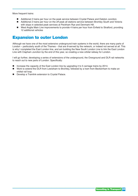<span id="page-24-0"></span>More frequent trains:

- Additional 2 trains per hour on the peak service between Crystal Palace and Dalston Junction.
- Additional 2 trains per hour on the off peak all stations service between Bromley South and Victoria with stops in selected peak services at Peckham Rye and Denmark Hill.
- West Anglia Main Line improvements to provide 4 trains per hour from Enfield to Stratford, providing 12 additional vehicles

#### Expansion to outer London

Although we have one of the most extensive underground train systems in the world, there are many parts of London – particularly south of the Thames – that are ill-served by the network, or indeed not served at all. This is why I completed the East London line, and am building the New South London Line to link the East London Line with Clapham Junction by the end of this year, so creating a new orbital railway for London.

I will go further, developing a series of extensions of the underground, the Overground and DLR rail networks to reach out to new parts of London. Specifically:

- Increase the capacity of the East London line by upgrading it to 5 carriage trains by 2014.
- Work to extend the DLR from Lewisham to Bromley, followed by a tram from Beckenham to make an orbital rail loop.
- Develop a Tramlink extension to Crystal Palace.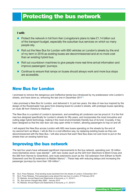## <span id="page-26-0"></span>Protecting the bus network

#### I will:

- Protect the network in full from Ken Livingstone's plans to take £1.14 billion out of the transport budget, especially the suburban bus services on which so many people rely.
- Roll out the New Bus for London with 600 vehicles on London's streets by the end of my term in 2016 as existing buses are decommissioned and at no more cost than an existing hybrid bus.
- Roll out countdown machines to give people more real-time arrival information and improve passengers' journeys.
- Continue to ensure that ramps on buses should always work and more bus stops are accessible.

#### New Bus for London

I promised to remove the dangerous and ineffective bendy-bus introduced by my predecessor onto London's streets, and have done so, removing the last one in December 2011 $\frac{1}{10}$ .

I also promised a New Bus for London, and delivered it. In just two years, the idea of new bus inspired by the design of the Routemaster has gone from drawing board to London's streets, with prototype buses operating on route 38 from Victoria to Hackney<sup>70</sup>.

The New Bus is a symbol of London's dynamism, and something all Londoners can be proud of. It is the first new bus designed specifically for London's streets for fifty years, and incorporates the most innovative and cutting edge hybrid technology, making it the most environmentally friendly bus of its kind. Crucially, it has been designed so that the rear door can stay open while in motion, allowing passengers to hop on and off.

I will expand the New Bus across London with 600 new buses operating on the streets by the end of my second term as Mayor. I will do this in a cost effective way, by replacing existing buses as they are decommissioned with the New Bus. I will also ensure that each New Bus does not cost more to put on the streets than an existing hybrid bus.

#### Improving the bus network

The last four years have witnessed significant improvements to the bus network, operating over 18 million more kilometres since I was elected<sup>71</sup>, with new routes (such as the 324 from Stanmore to Brent Cross and the 395 from Harrow to Greenford), and route extensions (such as the 132 extension from Eltham to North Greenwich and the S3 extension to Malden Manor)<sup>72</sup>. These help with reducing delays and increasing the passenger journeys by more than 100 million $73$ .

- 69 GLA, Press Release, [Final bending buses banished from the streets of London,](http://www.london.gov.uk/media/press_releases_mayoral/final-bendy-buses-banished-streets-london) 9 December 2011
- 70 GLA, Press Release, [First passengers jump aboard the new bus in London,](http://www.tfl.gov.uk/corporate/media/newscentre/archive/22955.aspx) 27 February 2012
- 71 [TfL Website, Annual Report and Statements of Accounts, p.11, 2010/11](http://www.tfl.gov.uk/assets/downloads/corporate/tfl-annual-report-2010-11-final-interactive.pdf)<br>72 TfL Bus service changes May 2008 January 2012
- TfL, Bus service changes May 2008 January 2012
- 73 [TfL Website, Annual Report and Statements of Accounts, p.11, 2010/11](http://www.tfl.gov.uk/assets/downloads/corporate/tfl-annual-report-2010-11-final-interactive.pdf)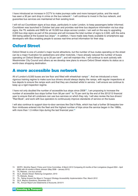<span id="page-27-0"></span>I have introduced an increase in CCTV to make journeys safer and more transport police, and the result has seen a 30 per cent drop in crime on the bus network<sup>74</sup>. I will continue to invest in the bus network, and guarantee bus services are maintained at their existing level.

I will roll out Countdown signs at bus stops, particularly in outer London, to keep passengers better informed. Countdown was launched in October last year and provides real-time bus departure information via bus stop signs, the TfL website and SMS for all 19,500 bus stops across London. I am well on the way to upgrading 2,000 bus stop signs as part of this process and will increase the total number of signs to 2,500, with the extra 500 being added at the busiest bus stops<sup>75</sup>. In addition, I have made data freely available to smartphone app developers with iBus enabling people to access real-time arrival information for their stop.

#### Oxford Street

Oxford Street is one of London's major tourist attractions, but the number of bus routes operating on the street can be a major frustration for pedestrians and other motorists. I have already reduced the number of buses operating on Oxford Street by up to 20 per cent<sup>76</sup>, and will maintain this. I will continue to work actively with Westminster City Council and others as we develop new plans to ensure Oxford Street retains its status as a world-class shopping destination.

#### A more accessible bus network

All of London's 8,500 buses are low floor and fitted with wheelchair ramps $\frac{77}{10}$ . And we introduced a more rigorous training regime to make sure bus drivers should always deploy the ramps, with regular inspections at bus depots to ensure the ramps work and that they are checked whilst in service. I will ensure we continue to keep up a rigid inspection regime.

I have not only doubled the number of accessible bus stops since  $2008^{78}$ , I am proposing to increase the number of accessible bus stops further from 58 per cent<sup>79</sup> to 70 per cent by the end of the 2012/13 financial year to ensure that all Londoners can use bus services on which they rely. I will also review the bus drivers' "Red Book", and work with bus operators to continuously improve standards of service on the buses

I will also continue to support door-to-door services like Dial A Ride, which has had a further 39 bespoke lowfloor minibuses entered into the fleet and the highest number of trips since the service began in the 1980s, with more than 1.3 million trips during the last financial year. $80$ 

74 [MOPC, Monthly Report: Police and Crime Committee, 8 March 2012](http://www.london.gov.uk/moderngov/mgConvert2PDF.aspx?ID=8751) Comparing 45 months of Ken Livingstone (August 2004 – April 2008) with 45 months of Boris Johnson (May 2008 – January 2012)

- 76 GLA, [Streets Ahead: Relieving Congestion](http://legacy.london.gov.uk/assembly/transport/2010/mar02/item06a.pdf), 2010
- 77 [TfL Website,](http://www.tfl.gov.uk/gettingaround/transportaccessibility/1171.aspx) Buses
- 78 TfL, [Taking forward the Mayor's Transport Strategy Accessibility Implementation Plan,](http://www.tfl.gov.uk/assets/downloads/corporate/taking-forward-the-mts-accessibility-implementation-plan-march-2012-final.pdf) March 2012<br>79 GLA Mayors Questions December 2011
- 79 GLA, [Mayors Questions,](http://www.london.gov.uk/moderngov/mgConvert2PDF.aspx?ID=5744&T=9) December 2011<br>80 Tfl. Annual Benort and Statements of Ac
- TfL, [Annual Report and Statements of Accounts](http://www.tfl.gov.uk/assets/downloads/corporate/tfl-annual-report-2010-11-final-interactive.pdf), 2010/11

<sup>75</sup> TfL Website, [Live bus arrivals](http://www.tfl.gov.uk/corporate/projectsandschemes/11560.aspx)<br>76 GLA Streets Ahead: Relieving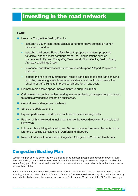# <span id="page-28-0"></span>Investing in the road network

#### I will:

- Launch a Congestion Busting Plan to:
	- establish a £50 million Roads Blackspot Fund to relieve congestion at key locations in London;
	- establish the London Roads Task Force to propose long-term proposals to tackle London's most notorious roads, including locations such as Hammersmith Flyover, Purley Way, Wandsworth Town Centre, Euston Road, Archway, and Kings Cross;
	- introduce Lane Rental to tackle road works and expand 'Report It' system to potholes;
	- expand the role of the Metropolitan Police's traffic police to keep traffic moving, including reopening roads faster after accidents; and continue to review the phasing of traffic lights to improve conditions for all road users.
- Promote more shared space improvements to our public realm.
- Call on each borough to review parking in non-residential, strategic shopping areas, to reduce any negative impact on businesses.
- Crack down on dangerous rickshaws.
- Set up a 'Cabbie Cabinet'.
- Expand pedestrian countdown to continue to make crossings safer.
- Push on with a new road tunnel under the river between Greenwich Peninsula and Silvertown.
- **Lobby for those living in Havering and Bexley to receive the same discounts on the** Dartford Crossing as residents in Dartford and Thurrock.
- Never introduce a London-wide Congestion Charge or a £25 tax on family cars.

#### Congestion Busting Plan

London is rightly seen as one of the world's leading cities, attracting people and companies from all over the world to visit, live and do business here. Our capital is fantastically positioned to keep and build on this status. A key part of that is making London's transport network work to support our city, and our roads are an essential part of that.

For all of these reasons, London deserves a road network that isn't just a relic of 1950s and 1960s urban planning, but a road system that is fit for the 21st century. The vast majority of journeys in London are done by road, whether by bus, car, bike, motorcycle, taxi or on foot - around 80 per cent of the 24.5 million journeys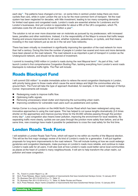<span id="page-29-0"></span>each day<sup>81</sup>. Trip patterns have changed a lot too - on some links in central London today there are more cyclists than cars, while in outer London the car is by far the most common form of transport. Yet the road system has been neglected for decades, with little investment, leading to too many competing demands for limited road space and congested roads. London's roads are essential arteries for Londoners and for London's businesses. And yet London is responsible for about a fifth of the UK's congestion, which TfL estimates costs the UK economy at least £2 billion a year<sup>82</sup>.

The solution is not an ever more draconian war on motorists as pursued by my predecessor, with increased taxes, penalties and other restrictions. Instead, it is the responsibility of the Mayor to ensure that traffic keeps flowing and ensure improvements for all users, whether motorists, pedestrians, or cyclists, and that means investing in the road network just as we do in the rail and Tube networks.

There has been virtually no investment in significantly improving the operation of the road network for more than half a century. During this time the number of people in London has soared and more and more demands have been placed on the road network. The road network is as important a part of transport in London as the Underground network, and should not be starved of investment.

I commit to investing £450 million in London's roads during the next Mayoral term<sup>83</sup>. As part of this, I will launch London's first comprehensive Congestion Busting Plan, tackling everything from London's worst roads blackspots to individual traffic lights. The Plan will include:

#### Roads Blackspot Fund

I will commit £50 million<sup>84</sup> to enable immediate action to relieve the worst congestion blackspots in London, with priority being given to those roads which cause the worst delays and blight the communities who live around them. The Fund will take the type of approach illustrated, for example, in the recent redesign of Henlys Corner. Improvements will include:

- Redesigning roads to improve traffic flow.
- Optimising traffic signals.
- Removing unnecessary street clutter and improving the surrounding urban realm.
- **Improving conditions for vulnerable road users such as pedestrians and cyclists.**

Henlys Corner is a busy junction on the A406 North Circular Road which has been redesigned using new, innovative approaches to using the road space. This has helped to cut queue lengths dramatically (3-5 times shorter on the approaches) and improve journey times for the 94,000 vehicles passing through the junction every day<sup>85</sup>. Less congestion also means lower pollution, improving the environment for local residents. By separating traffic more clearly, cyclists are can pass through the junction more safely than before, and at the same time, new crossings have made it possible for pedestrians to cross the road safely for the first time.

#### London Roads Task Force

I will establish a London Roads Task Force, which will report to me within six months of the Mayoral election. This will be the first major strategic review of its kind of London's roads for a generation. It will put together proposals for long-term improvements to the road network. This will include looking at how we could redesign gyratories and congestion blackspots, make journeys on London's roads more reliable, and continue to make London's roads safe for all users. It will also look at how London's roads could better serve local communities as places at the heart of London's many neighbourhoods. It will aim to help transform the urban realm, cut pollution and ease congestion.

- 81 TfL, [Travel in London Report 4](http://www.london.gov.uk/moderngov/mgConvert2PDF.aspx?ID=5744&T=9), p. 28
- 82 GLA, Press Release[, Mayor marks completion of improvements that have transformed Henleys Corner,](http://www.london.gov.uk/moderngov/mgConvert2PDF.aspx?ID=5744&T=9) 13 January 2012
- 83 TfL [Business Plan 2011/12-2014/15,](http://www.tfl.gov.uk/assets/downloads/corporate/tfls-business-plan-2011-12-to-2014-15.pdf) p. 71, Table 10
- 84 TfL [Business Plan 2011/12-2014/15,](http://www.tfl.gov.uk/assets/downloads/corporate/tfls-business-plan-2011-12-to-2014-15.pdf) p. 71, Table 10, Better Routes and Places<br>85 GLA Press Belease Mayor marks completion of improvements that have trans
- GLA, Press Release[, Mayor marks completion of improvements that have transformed Henlys Corner,](http://www.london.gov.uk/moderngov/mgConvert2PDF.aspx?ID=5744&T=9) 13 January 2012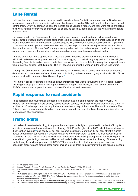#### <span id="page-30-0"></span>Lane Rental

I will use the new powers which I have secured to introduce Lane Rental to tackle road works. Road works are a major contributor to congestion in London, but before I arrived at City Hall, no attempt had been made to control them. Over 100 companies have the right to dig up London's roads<sup>86</sup>, and they were not co-ordinating their work, had no incentive to do their work as quickly as possible, nor to carry out the work when the roads are least busy.

Having persuaded the Government to grant London new powers, I introduced a permit scheme for road works, putting pressure on the utilities companies to be less disruptive. It has been a great success. In its first year of operation, with 18 boroughs on board alongside TfL, the scheme reduced road works by 17 per cent in the areas where it operated and saved London 150,000 days of street works in just twelve months. Since then a further seven of London's 32 boroughs are signed up, with the rest coming on board shortly, so we can expect to see even greater reductions in time wasted on unnecessarily prolonged road works<sup>87</sup>.

I want to go further. I have agreed with Ministers to allow London to pioneer a new Lane Rental scheme, which will make companies pay up to £2,500 a day for digging up roads during busy periods<sup>88</sup> – this will give them a big financial incentive to co-ordinate their road works, and to complete them as quickly as possible at a time of day that causes least disruption. This will become a formidable weapon in the war on road works.

Through the Committee on Lane Rental convened by TfL, I will use the proceeds from lane rental to reduce disruption and other adverse effects of road works, including potholes created by any road works. TfL officials expect this fund to be around  $£6$  million each year<sup>89</sup>.

I will make it easier for drivers to complain about unattended road works through the new 'Report It' system, including developing a mobile phone app for motorists to report road works, and will use London's traffic PCSOs to report and impose fines on companies if their road works over-run.

#### Rapid response to road accidents

Road accidents can cause major disruption. Often it can take too long to reopen the road network. I will explore new technology to more quickly assess accident scenes, including new lasers that scan the site of an accident in 3D to help police to more quickly complete their survey of the scene. This would enable the Met Police to open roads more rapidly to keep London moving, with the aim of halving the average time taken to reopen roads after an incident.

### Traffic lights

I will roll out innovative technology to improve the phasing of traffic lights. I promised to review traffic lights, and since being elected have reviewed the phasing of 2,650 traffic lights since 2009, which has cut delays by 8 per cent on average<sup>90</sup> and nearly 20 per cent in some locations<sup>91</sup>. More than 40 per cent of traffic signals across London now 'self regulate'<sup>92</sup> through innovative technology known as Split Cycle Offset Optimisation Technique (SCOOT) which allows traffic signals to detect vehicles passing along a road and work together to amend their signal timings on a second by second basis. I will continue review the phasing of the remaining lights during the next four years and trial SCOOT for pedestrians to detect large groups of people at pedestrian crossings and amend traffic signal timings to allow them to quickly move through areas of London.

- 86 [GLA Website,](http://www.london.gov.uk/priorities/transport/smoothing-traffic-flow/lane-rental) Lane rental
- 87 London Councils, [London Permit Scheme: First Year Evaluation Report](http://www.tfl.gov.uk/assets/downloads/London-permit-scheme-report.pdf), 27 May 2011, p. 6<br>88 DfT Press Belease, Green light for pioneering scheme to tackle rush hour road works disru
- 88 DfT, Press Release, [Green light for pioneering scheme to tackle rush hour road works disruption](http://www.dft.gov.uk/news/press-releases/dft-press-20120316a/), 6 March 2012
- 89 TFL<br>90 Tfl

TfL Website, [Suggested signal removal list](http://www.tfl.gov.uk/assets/downloads/corporate/traffic-signal-removal-list.pdf), February 2012 ; TfL, Press Release[, Transport for London](http://www.tfl.gov.uk/corporate/media/newscentre/archive/16107.aspx) Londoners to face fewer [delays at traffic signals,](http://www.tfl.gov.uk/corporate/media/newscentre/archive/16107.aspx) 1 July 2010; TfL, Press Release, [Mayor announces innovative technology is helping traffic flow more](http://www.tfl.gov.uk/corporate/media/newscentre/23061.aspx)  [smoothly and cut disruption](http://www.tfl.gov.uk/corporate/media/newscentre/23061.aspx), 19 March 2012

91 TfL, Press Release, [Mayor announces innovative technology is helping traffic flow more smoothly and cut disruption](http://www.tfl.gov.uk/corporate/media/newscentre/23061.aspx), 19 March 2012 92 TfL, Press Release, [Mayor announces innovative technology is helping traffic flow more smoothly and cut disruption](http://www.tfl.gov.uk/corporate/media/newscentre/23061.aspx), 19 March 2012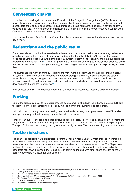#### <span id="page-31-0"></span>Congestion charge

I promised to consult again on the Western Extension of the Congestion Charge Zone (WEZ). I listened to residents' views and scrapped it. There has been a negligible impact on congestion and traffic speeds, and a noticeable boost to local businesses<sup>93</sup>. I also promised to scrap Ken Livingstone's £25 a day tax on family vehicles, and I did. To protect London's businesses and families, I commit to never introduce a London-wide Congestion Charge or a £25 tax on family cars.

I have also introduced AutoPay for the Congestion Charge which means no registered driver should have to pay a fine<sup>94</sup>.

#### Pedestrians and the public realm

Since I was elected, London has been leading the country in innovative road schemes ensuring pedestrians get a better deal on the roads, making it easier and safer for them. I installed the "X" diagonal pedestrian crossings at Oxford Circus, unravelled the one-way gyratory system along Piccadilly, and have supported the shared use of Exhibition Road<sup>95</sup>. This gives pedestrians and drivers equal rights of way, which evidence shows reduces accidents as it discourages speeding, and encourages road users taking more responsibility for their risks.

The capital has too many guardrails, restricting the movement of pedestrians and also presenting a hazard for cyclists. I have removed 63 kilometres of quardrails along pavements<sup>96</sup>, making it easier and safer for pedestrians to cross, and stripped out other unnecessary street clutter. I will continue to work with the boroughs to push forward shared space schemes and scrap guardrails and promote this approach on new developments through the London Plan<sup>97</sup>.

After successful trials, I will introduce Pedestrian Countdown to around 200 locations across the capital<sup>98</sup>.

## Parking

One of the biggest complaints from businesses large and small is about parking in London making it difficult for them to do their job, increasing costs, or by making it difficult for customers to get to them.

I will call on each borough to review parking in non-residential, strategic shopping areas, to see if it can be managed in a way that reduces any negative impact on businesses.

Retailers can suffer if shoppers find it too difficult to park their cars, so I will lead by example by extending the length of time motorists can park at 'Stop and Shop' bays - giving them an extra 10 minutes free parking on Transport for London roads that go through commercial high streets. The current stopping time is 20 minutes.

#### Tackle rickshaws

Rickshaws, or pedicabs, have proliferated in central London in recent years. Unregulated, often uninsured, usually over-priced and frequently dangerous, they have attracted increasing complaints from other road users about their behaviour and about the many close misses that have nearly costs lives. The Mayor does not have the powers to ban them, but I am already using the powers I do have to crack down on badly conducted rickshaws in London. I will do so increasingly in partnership with other agencies, such as the UK Border Agency and HM Revenue and Customs.

- 95 TfL, Press Release, [Mayor agrees extra £10m TfL funding for Exhibition Road project](http://www.tfl.gov.uk/static/corporate/media/newscentre/archive/11016.html), 16 January 2009
- 96 TfL, [Surface Transport Panel](http://www.tfl.gov.uk/assets/downloads/corporate/Item09-STP-11-May-2011-Improving-the-Urban-Realm-on-the-TLRN.pdf), 11 May 2011
- 97 [GLA, The London Plan, July 2011](http://www.london.gov.uk/sites/default/files/The London Plan 2011.pdf)
- 98 TfL Website, Pedestrian Countdown at traffic signals

<sup>93</sup> TfL, Press Release, Mayor confirms removal of Congestion Charge Western Extension Zone by Christmas and introduction of CC [Auto Pay in New Year,](http://www.tfl.gov.uk/corporate/media/newscentre/archive/17091.aspx) 20 October 2010

<sup>94</sup> TfL, Press Release, [Auto pay hits the mark](http://www.tfl.gov.uk/corporate/media/newscentre/metro/21046.aspx), 16 September 2011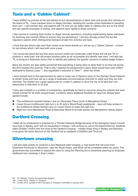#### <span id="page-32-0"></span>Taxis and a 'Cabbie Cabinet'

I have fulfilled my promise at the last election to put representatives of black taxis and private hire vehicles on the board of TfL. I have clamped down on illegal minicabs, doubling the number police dedicated to stamping them out<sup>99</sup>. I will maintain this, and explore with TfL how we can better listen to cabbies who are on the street and see specific examples of touting, and respond more rapidly to those concerns.

I also commit to cracking down further on illegal minicab operations, including implementing tighter standards for licensing new minicab offices to ensure they are aboveboard. I will also strongly protect the two-tier regulatory system which distinguishes between private hire vehicles and taxis.

I know that taxi drivers also want their voices to be heard directly so I will set up a 'Cabbie Cabinet' - a forum for taxi drivers which I will meet with once a year.

I am concerned about the fact that ranks around London are continually under threat and will ask TfL to produce a 'ranks plan' that will protect existing ranks as far as possible and identify new ones. I will also ask TfL to produce a Suburban Action Plan to identify and address the specific concerns of yellow badge holders.

Many taxi drivers are also rightly concerned that everything is being done to allow them to do their job during the 2012 Games this summer. That is why I rejected my predecessor's plans which would have seen 240km dedicated to Games Lanes<sup>100</sup>, and negotiated a reduction to 75 $km^{101}$ , down two thirds.

I have worked hard to find opportunities for taxis to make use of Games Lanes on the Olympic Route Network at certain times and have set up a range of dedicated communications channels to make sure they are fully informed. The Games are a great opportunity for London's cabbies to show the city at its best and I am determined to help them to do that.

I have also insisted on a number of concessions, specifically for taxis to use turns along the network that were initially banned for all traffic except buses. Locations where additional flexibility for taxis has already been agreed include:

- The northbound nearside Games Lane on Gloucester Place (north of Marylebone Road).
- Lisson Grove (northbound) right turn in to St John's Wood Road (eastbound) taxis will have access to the northbound offside Games Lane on Lisson Grove to make this right turn.
- Right turn from Marylebone Road at Balcombe Street to provide access into Marylebone railway station.

#### Dartford Crossing

I killed off my predecessor's proposal for a Thames Gateway Bridge because of the damaging impact it would have had on Bexley, and I will not resuscitate it. Instead, I will continue to call on the Government for residents within Greater London who live close to the Dartford Crossing – notably those living in Bexley and Havering to be given the same discount on the Dartford toll as residents of Dartford and Thurrock.

#### Silvertown crossing

I will also seek powers to construct a new Blackwall relief crossing, a road tunnel that will cross from Greenwich Peninsula to Silvertown, near the Royal Docks, and which will be completed within ten years. The government has committed to explore the case for using the Planning Act to streamline planning for proposed additional river crossings in East London.

99 TfL Website, [Touting and associated dangers](http://www.london.gov.uk/moderngov/mgConvert2PDF.aspx?ID=5744&T=9)

<sup>100</sup> London 2012, [Theme 14: Transport](http://www.london2012.com/publications/theme-14-transport.php)

<sup>101</sup> London 2012, [Update on 2012 transport to Transport Committee](http://www.london.gov.uk/moderngov/mgConvert2PDF.aspx?ID=7519), 3 January 2012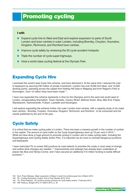# <span id="page-34-0"></span>Promoting cycling

#### I will:

- Expand cycle hire to West and East and explore expansion to parts of South London and town centres in outer London, including Bromley, Croydon, Hounslow, Kingston, Richmond, and Romford town centres.
- Improve cycle safety by reviewing the 50 cycle accident hotspots.
- Triple the number of cycle super-highways.
- Host a world class cycling festival at the Olympic Park.

#### Expanding Cycle Hire

I promised the world's best Cycle Hire scheme, and have delivered it. At the same time I reduced the cost to taxpayers by securing £50 million of private investment. London has over 8,000 hire bikes, and 15,000 docking points, operating across the capital from Notting Hill Gate to Wapping and from Regent's Park to Kennington. Over 10 million hires have been made<sup>102</sup>.

I have now expanded the scheme eastwards in time for the Olympics and to the west and south-west of London, encapsulating Shoreditch, Tower Hamlets, Canary Wharf, Bethnal Green, Bow, Mile End, Poplar, Wandsworth, Hammersmith, Fulham, Lambeth and Kensington.

I will explore expanding the scheme further into outer London town centres, with a capacity study of six major town centres - Bromley, Croydon, Hounslow, Kingston, Richmond, and Romford - to be conducted and the results published by the end of the year.

## Cycle Safety

It is critical that we make cycling safer in London. There has been a massive growth in the number of cyclists in the capital. The amount of cycle traffic on the Cycle Superhighways went up 70 per cent in 2010<sup>103</sup>. While we have done a huge amount to promote cycling in London and to make cycling safer, including the Superhighways and Cycling Safety Action Plan, it is important we do more to remodel dangerous junctions and blackspots.

I have instructed TfL to review 500 junctions its road network to prioritise the roads in most need of change and outline what changes are needed.<sup>104</sup> Improvements and redesign has already been undertaken at places like Bow and Henlys Corner, and I have secured an additional £15 million funding to tackle difficult junctions<sup>105</sup>.

- 103 TfL, [Cycling Revolution London: End of Year Review 2010](http://www.tfl.gov.uk/assets/downloads/roadusers/cycling-revolution-end-of-year_review.pdf), 2010
- 104 TfL, Press Release, [TfL confirms priority junctions for cycle safety review](http://www.tfl.gov.uk/corporate/media/newscentre/archive/22832.aspx), 7 February 2012
- 105 HM Treasury, Budget 2012[, 21 March 2012, p. 40](http://cdn.hm-treasury.gov.uk/budget2012_complete.pdf)

<sup>102</sup> GLA, Press Release, [Major expansion of Mayor's cycle hire scheme goes live](http://www.london.gov.uk/media/press_releases_mayoral/major-expansion-mayors-cycle-hire-scheme-goes-live), 8 March 2012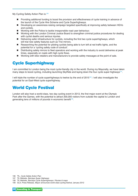<span id="page-35-0"></span>My Cycling Safety Action Plan is:<sup>106</sup>

- Providing additional funding to boost the provision and effectiveness of cycle training in advance of the launch of the Cycle Hire Scheme and Cycle Superhighways.
- Developing an awareness-raising campaign targeted specifically at improving safety between HGVs and cyclists.
- Working with the Police to tackle irresponsible road user behaviour.
- Working with the London Criminal Justice Board to strengthen criminal justice procedures for dealing with cyclist deaths and serious injuries.
- Delivering safer infrastructure for cyclists, including the first two cycle superhighways, which will trial new safety features such as Trixi mirrors.
- Researching the potential for piloting cyclists being able to turn left at red traffic lights, and the potential for a 'cycling safety code of conduct'.
- Distributing safety mirrors to fleet operators and working with the industry to avoid deliveries at peak times, especially on roads with high cycle flows.
- Working with bike retailers and manufacturers to provide safety messages at the point of sale.

#### Cycle Superhighway

I am committed to London being the most cycle-friendly city in the world. During my Mayoralty, we have taken many steps to boost cycling, including launching SkyRide and laying down the four cycle super-highways<sup>107</sup>.

I will triple the number of cycle superhighways to twelve by the end of 2015<sup>108</sup>. I will also investigate the potential for an East-West cycle superhighway.

## World Cycle Festival

London will also host a world-class, two day cycling event in 2013, the first major event at the Olympic Park after the Games, with the potential to attract 200,000 visitors from outside the capital to London and generating tens of millions of pounds in economic benefit<sup>109</sup>.

106 TfL, [Cycle Safety Action Plan](http://www.tfl.gov.uk/corporate/projectsandschemes/15480.aspx)

- 107 TfL Website, [Barclays Super Highways](http://www.tfl.gov.uk/roadusers/cycling/15832.aspx)
- 108 TfL Website, [Barclays Cycle Superhighways / Routes & maps](http://www.tfl.gov.uk/roadusers/cycling/15832.aspx)
- 109 GLA, Press Release, [Mayor announces world class cycling festival,](http://www.london.gov.uk/media/press_releases_mayoral/mayor-announces-world-class-cycling-festival) January 2012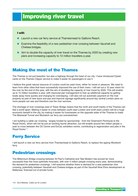## <span id="page-36-0"></span>Improving river travel

#### I will:

- Launch a new car ferry service at Thamesmead to Gallions Reach.
- Examine the feasibility of a new pedestrian river crossing between Vauxhall and Chelsea bridges.
- Aim to double the capacity of river travel on the Thames by 2020 by creating new piers and increasing capacity to 12 million travellers a year.

#### Making the most of the Thames

The Thames is not just beautiful, but also a highway through the heart of our city. I have introduced Oyster cards on the Thames Clipper service to make it easier for passengers to use it.

I believe this great natural resource of London could be used more, either for travel or pleasure. We need to learn from other cities that have successfully improved the use of their rivers. I will set out a 10 year vision for the river by the end of this year, with the aim of doubling the capacity of river travel by 2020. This will enable up to 12 million travellers a year, with improved pier management to free up additional capacity by getting boats away more quickly and charging for overstaying. I will also roll out automatic payment on the river properly as part of new wave and pay and improve signage significantly around key central London piers so more people can see and therefore use the river services.

The shortage of river crossings east of Tower Bridge means that the north and south banks of the Thames can feel a world apart. Making it easier to cross between south east London and north east London will be a huge economic benefit to the city, by making it easier for businesses on the opposite sides of the Thames to trade. The Blackwall Tunnel and Woolwich car ferry are overstretched.

I am building a cable car crossing - largely funded by sponsorship - from the Greenwich Peninsula to the Royal Docks, which will not be just an exciting tourist attraction, but will enable around two million people a year to cross between the O2 Centre and ExCeL exhibition centre, contributing to regeneration and jobs in the Royal Docks<sup>110</sup>.

#### Ferry Service

I will launch a new car ferry service from Thamesmead to Gallions Reach, to replace the ageing Woolwich ferry.

#### Pedestrian crossings

The Millennium Bridge crossing between St Paul's Cathedral and Tate Modern has proved far more successful than the most optimistic forecasts, with over 4 million people crossing every year, demonstrating the demand for pedestrian crossings. I will examine whether there is demand for a new pedestrian river crossing, potentially between Vauxhall and Chelsea bridges as part of the Vauxhall Nine Elms development at Battersea, financed out of private funds.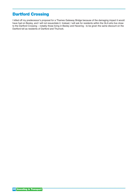## <span id="page-37-0"></span>Dartford Crossing

I killed off my predecessor's proposal for a Thames Gateway Bridge because of the damaging impact it would have had on Bexley, and I will not resuscitate it. Instead, I will ask for residents within the GLA who live close to the Dartford Crossing – notably those living in Bexley and Havering - to be given the same discount on the Dartford toll as residents of Dartford and Thurrock.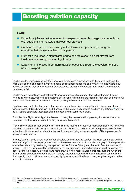## <span id="page-38-0"></span>Boosting aviation capacity

#### I will:

- Protect the jobs and wider economic prosperity created by the global connections with suppliers and markets that Heathrow provides.
- Continue to oppose a third runway at Heathrow and oppose any changes in operation that measurably harm local people.
- Fight for a reduction in night flights and to ban the oldest, noisiest aircraft from Heathrow's densely populated flight paths.
- Lobby for an increase in London's aviation capacity through the development of a new hub airport.

London is a top-ranking global city that thrives on its trade and connections with the rest of world. As the capital city of an island-nation, London's people and businesses depend on air travel to get to where they need to be and for their suppliers and customers to be able to get here easily. But London's main airport, Heathrow, is full.

London needs to continue to attract tourists, investment and job creators – this will not happen if, as is increasingly the case, visitors find it easier to get to Paris, Amsterdam and Frankfurt than they do London. All these cities have invested in better air links to growing overseas markets than we have.

Heathrow, along with the thousands of people who work there, does a magnificent job in very constrained circumstances. It directly employs 76,000 people at the airport and supports another 180,000 jobs<sup>111</sup> and I will do all I can to safeguard those jobs and the prosperity that comes with them.

But noise from flight paths blights the lives of too many Londoners and I oppose any further expansion at Heathrow – that would not be right for the people who live near it.

I have also consistently lobbied for fewer night flights to reduce the impact of interrupted sleep. I will continue to make that case and also lobby to ban older, noisier planes from Heathrow. Modern planes make far less noise than old planes and an aircraft noise restriction would bring a dramatic quality of life improvement for people in west London.

Instead, London needs a new, modern hub airport to be built, serving London, the wider south east, and the nation at large<sup>112</sup>. A new airport, constructed to the east of London, would contribute hugely to the regeneration of east London and by positioning flight paths over the Thames Estuary and the North Sea, the number of people affected by noise could be cut dramatically. Londoners and London businesses need the capacity to generate more prosperity, more jobs and more growth. A new modern airport financed, built and run by the private sector and designed to handle 21st Century aviation demand would make a powerful contribution to that capacity. I will do all I can to make it a reality by working with the Government, neighbouring authorities and major investors.

<sup>111</sup> Frontier Economics, [Connecting for growth: the role of Britain's hub airport in economic recovery](http://www.frontier-economics.com/_library/pdfs/Connecting for growth.pdf/), September 2011

<sup>112</sup> Mayor of London, Press Release, [Mayor says new hub airport vital for London and UK's future prosperity and growth](http://www.london.gov.uk/media/press_releases_mayoral/mayor-says-new-hub-airport-vital-london-and-uk%E2%80%99s-future-prosperity-and-), 18 January [2011](http://www.london.gov.uk/media/press_releases_mayoral/mayor-says-new-hub-airport-vital-london-and-uk%E2%80%99s-future-prosperity-and-)